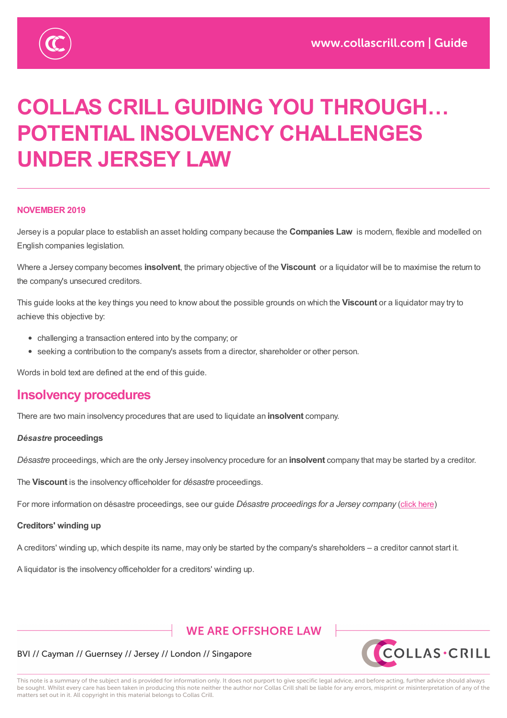

# **COLLAS CRILL GUIDING YOU THROUGH… POTENTIAL INSOLVENCY CHALLENGES UNDER JERSEY LAW**

### **NOVEMBER 2019**

Jersey is a popular place to establish an asset holding company because the **Companies Law** is modern, flexible and modelled on English companies legislation.

Where a Jersey company becomes **insolvent**, the primary objective of the **Viscount** or a liquidator will be to maximise the return to the company's unsecured creditors.

This guide looks at the key things you need to know about the possible grounds on which the **Viscount** or a liquidator may try to achieve this objective by:

- challenging a transaction entered into by the company; or
- seeking a contribution to the company's assets from a director, shareholder or other person.

Words in bold text are defined at the end of this guide.

### **Insolvency procedures**

There are two main insolvency procedures that are used to liquidate an **insolvent** company.

#### *Désastre* **proceedings**

*Désastre* proceedings, which are the only Jersey insolvency procedure for an **insolvent** company that may be started by a creditor.

The **Viscount** is the insolvency officeholder for *désastre* proceedings.

For more information on désastre proceedings, see our guide *Désastre proceedings for a Jersey company* (click here)

#### **Creditors' winding up**

A creditors' winding up, which despite its name, may only be started by the company's shareholders – a creditor [cannot](https://www.collascrill.com/knowledge-documents/guides/collas-crill-guiding-you-through-d%C3%A9sastre-proceedings-for-a-jersey-company/) start it.

A liquidator is the insolvency officeholder for a creditors' winding up.

### **WE ARE OFFSHORE LAW**



#### BVI // Cayman // Guernsey // Jersey // London // Singapore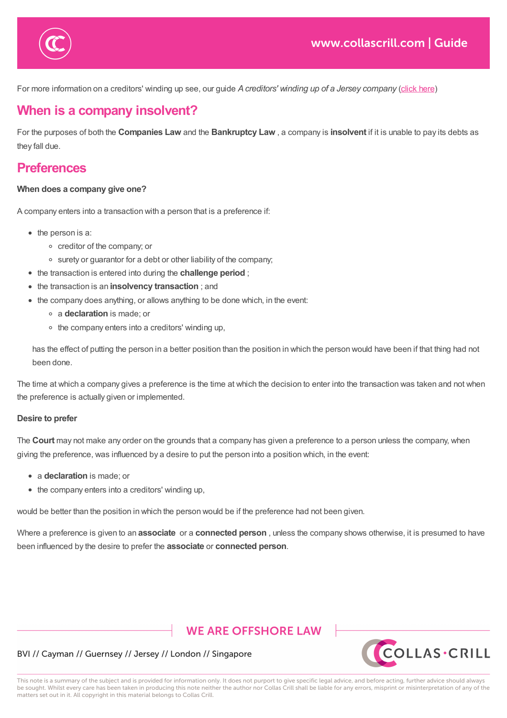

For more information on a creditors' winding up see, our guide *Acreditors' winding up of a Jersey company* (click here)

# **When is a company insolvent?**

 $A$  is the insolvency of insolvency of a creditors' winding up. The insolvency  $\mathcal{A}$ 

For the purposes of both the **Companies Law** and the **Bankruptcy Law** , a company is **insolvent** if it is unable to [pay](https://www.collascrill.com/knowledge-documents/guides/collas-crill-guiding-you-through-a-creditors-winding-up-of-a-jersey-company/) its debts as they fall due.

# **Preferences**

### **When does a company give one?**

A company enters into a transaction with a person that is a preference if:

- $\bullet$  the person is a:
	- creditor of the company; or
	- surety or guarantor for a debt or other liability of the company;
- the transaction is entered into during the **challenge period** ;
- the transaction is an **insolvency transaction** ; and
- the company does anything, or allows anything to be done which, in the event:
	- a **declaration** is made; or
	- $\circ$  the company enters into a creditors' winding up,

has the effect of putting the person in a better position than the position in which the person would have been if that thing had not been done.

The time at which a company gives a preference is the time at which the decision to enter into the transaction was taken and not when the preference is actually given or implemented.

#### **Desire to prefer**

The **Court** may not make any order on the grounds that a company has given a preference to a person unless the company, when giving the preference, was influenced by a desire to put the person into a position which, in the event:

- a **declaration** is made; or
- the company enters into a creditors' winding up,

would be better than the position in which the person would be if the preference had not been given.

Where a preference is given to an **associate** or a **connected person** , unless the company shows otherwise, it is presumed to have been influenced by the desire to prefer the **associate** or **connected person**.

### **WE ARE OFFSHORE LAW**



### BVI // Cayman // Guernsey // Jersey // London // Singapore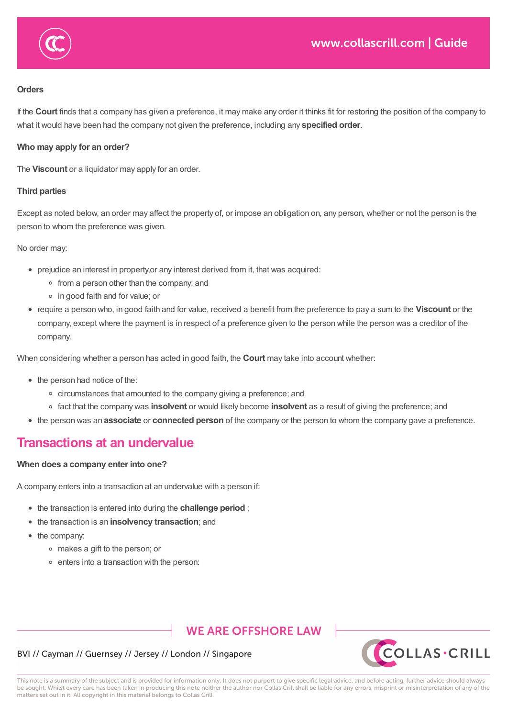

#### **Orders**

If the **Court** finds that a company has given a preference, it may make any order it thinks fit for restoring the position of the company to what it would have been had the company not given the preference, including any **specified order**.

### **Who may apply for an order?**

The **Viscount** or a liquidator may apply for an order.

### **Third parties**

Except as noted below, an order may affect the property of, or impose an obligation on, any person, whether or not the person is the person to whom the preference was given.

No order may:

- prejudice an interest in property,or any interest derived from it, that was acquired:
	- from a person other than the company; and
	- in good faith and for value; or
- require a person who, in good faith and for value, received a benefit from the preference to pay a sum to the **Viscount** or the company, except where the payment is in respect of a preference given to the person while the person was a creditor of the company.

When considering whether a person has acted in good faith, the **Court** may take into account whether:

- the person had notice of the:
	- o circumstances that amounted to the company giving a preference; and
	- fact that the company was **insolvent** or would likely become **insolvent** as a result of giving the preference; and
- the person was an **associate** or **connected person** of the company or the person to whom the company gave a preference.

### **Transactions at an undervalue**

### **When does a company enter into one?**

A company enters into a transaction at an undervalue with a person if:

- the transaction is entered into during the **challenge period** ;
- the transaction is an **insolvency transaction**; and
- the company:
	- makes a gift to the person; or
	- enters into a transaction with the person:

### **WE ARE OFFSHORE LAW**



### BVI // Cayman // Guernsey // Jersey // London // Singapore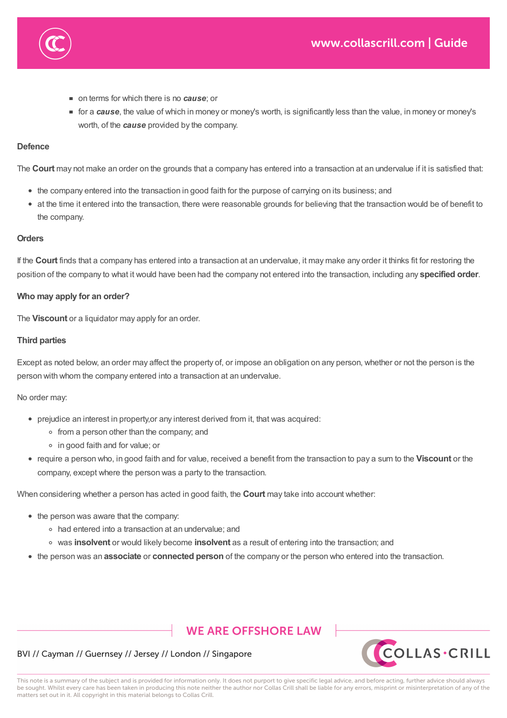

- on terms for which there is no *cause*; or
- for a *cause*, the value of which in money or money's worth, is significantly less than the value, in money or money's worth, of the *cause* provided by the company.

### **Defence**

The **Court** may not make an order on the grounds that a company has entered into a transaction at an undervalue if it is satisfied that:

- the company entered into the transaction in good faith for the purpose of carrying on its business; and
- at the time it entered into the transaction, there were reasonable grounds for believing that the transaction would be of benefit to the company.

### **Orders**

If the **Court** finds that a company has entered into a transaction at an undervalue, it may make any order it thinks fit for restoring the position of the company to what it would have been had the company not entered into the transaction, including any **specified order**.

### **Who may apply for an order?**

The **Viscount** or a liquidator may apply for an order.

### **Third parties**

Except as noted below, an order may affect the property of, or impose an obligation on any person, whether or not the person is the person with whom the company entered into a transaction at an undervalue.

#### No order may:

- prejudice an interest in property,or any interest derived from it, that was acquired:
	- from a person other than the company; and
	- in good faith and for value; or
- require a person who, in good faith and for value, received a benefit from the transaction to pay a sum to the **Viscount** or the company, except where the person was a party to the transaction.

When considering whether a person has acted in good faith, the **Court** may take into account whether:

- the person was aware that the company:
	- had entered into a transaction at an undervalue; and
	- was **insolvent** or would likely become **insolvent** as a result of entering into the transaction; and
- the person was an **associate** or **connected person** of the company or the person who entered into the transaction.

# **WE ARE OFFSHORE LAW**



### BVI // Cayman // Guernsey // Jersey // London // Singapore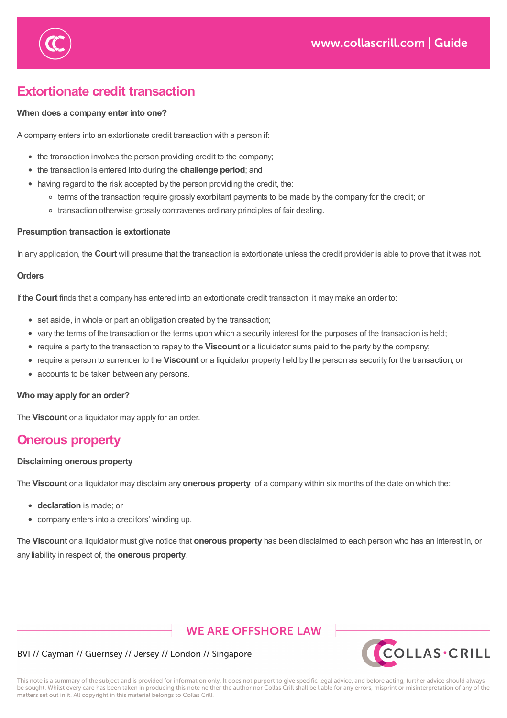

# **Extortionate credit transaction**

the person was aware that the company:

### **When does a company enter into one?**

A company enters into an extortionate credit transaction with a person if:

- the transaction involves the person providing credit to the company;
- the transaction is entered into during the **challenge period**; and
- having regard to the risk accepted by the person providing the credit, the:
	- <sup>o</sup> terms of the transaction require grossly exorbitant payments to be made by the company for the credit; or
	- o transaction otherwise grossly contravenes ordinary principles of fair dealing.

### **Presumption transaction is extortionate**

In any application, the **Court** will presume that the transaction is extortionate unless the credit provider is able to prove that it was not.

#### **Orders**

If the **Court** finds that a company has entered into an extortionate credit transaction, it may make an order to:

- set aside, in whole or part an obligation created by the transaction;
- vary the terms of the transaction or the terms upon which a security interest for the purposes of the transaction is held;
- require a party to the transaction to repay to the **Viscount** or a liquidator sums paid to the party by the company;
- require a person to surrender to the **Viscount** or a liquidator property held by the person as security for the transaction; or
- accounts to be taken between any persons.

#### **Who may apply for an order?**

The **Viscount** or a liquidator may apply for an order.

### **Onerous property**

### **Disclaiming onerous property**

The **Viscount** or a liquidator may disclaim any **onerous property** of a company within six months of the date on which the:

- **declaration** is made; or
- company enters into a creditors' winding up.

The **Viscount** or a liquidator must give notice that **onerous property** has been disclaimed to each person who has an interest in, or any liability in respect of, the **onerous property**.

# **WE ARE OFFSHORE LAW**



### BVI // Cayman // Guernsey // Jersey // London // Singapore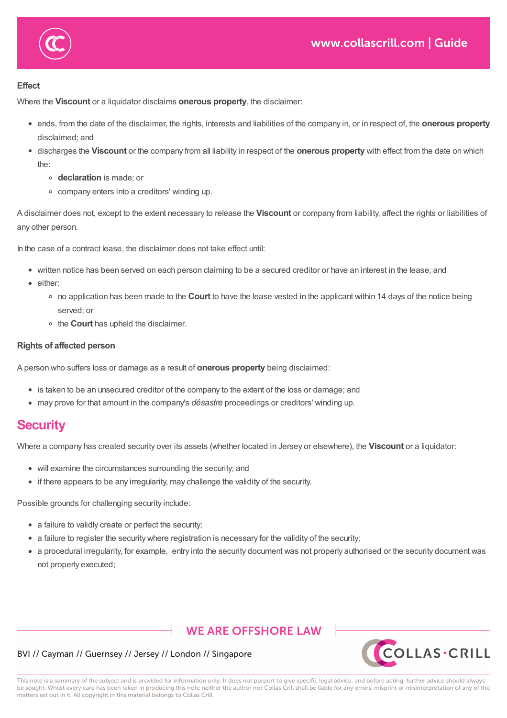



**declaration** is made; or

### **Effect**

Where the **Viscount** or a liquidator disclaims **onerous property**, the disclaimer:

- ends, from the date of the disclaimer, the rights, interests and liabilities of the company in, or in respect of, the **onerous property** disclaimed; and
- discharges the **Viscount** or the company from all liability in respect of the **onerous property** with effect from the date on which the:
	- **declaration** is made; or
	- company enters into a creditors' winding up.

A disclaimer does not, except to the extent necessary to release the **Viscount** or company from liability, affect the rights or liabilities of any other person.

In the case of a contract lease, the disclaimer does not take effect until:

- written notice has been served on each person claiming to be a secured creditor or have an interest in the lease; and
- either:
	- no application has been made to the **Court** to have the lease vested in the applicant within 14 days of the notice being served; or
	- <sup>o</sup> the **Court** has upheld the disclaimer.

### **Rights of affected person**

A person who suffers loss or damage as a result of **onerous property** being disclaimed:

- is taken to be an unsecured creditor of the company to the extent of the loss or damage; and
- may prove for that amount in the company's *désastre* proceedings or creditors' winding up.

### **Security**

Where a company has created security over its assets (whether located in Jersey or elsewhere), the **Viscount** or a liquidator:

- will examine the circumstances surrounding the security; and
- if there appears to be any irregularity, may challenge the validity of the security.

Possible grounds for challenging security include:

- a failure to validly create or perfect the security;
- a failure to register the security where registration is necessary for the validity of the security;
- a procedural irregularity, for example, entry into the security document was not properly authorised or the security document was not properly executed;

### **WE ARE OFFSHORE LAW**



### BVI // Cayman // Guernsey // Jersey // London // Singapore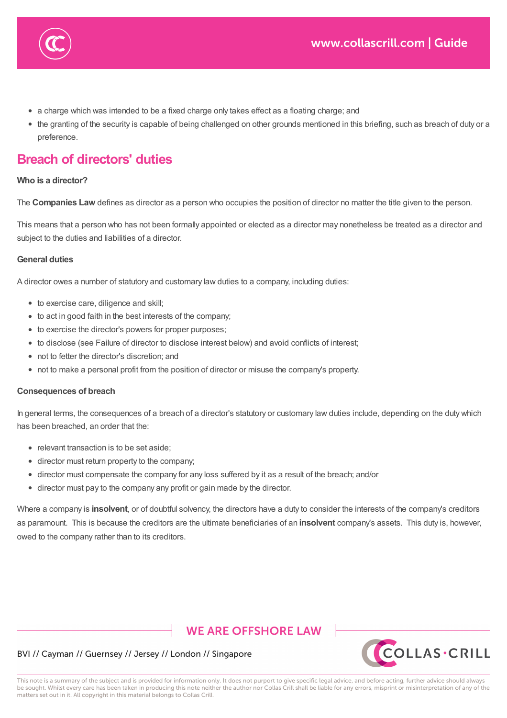- a charge which was intended to be a fixed charge only takes effect as a floating charge; and
- the granting of the security is capable of being challenged on other grounds mentioned in this briefing, such as breach of duty or a preference.

# **Breach of directors' duties**

a failure to valid create or perfect the security;  $\alpha$ 

### **Who is a director?**

The **Companies Law** defines as director as a person who occupies the position of director no matter the title given to the person.

This means that a person who has not been formally appointed or elected as a director may nonetheless be treated as a director and subject to the duties and liabilities of a director.

### **General duties**

A director owes a number of statutory and customary law duties to a company, including duties:

- to exercise care, diligence and skill;
- to act in good faith in the best interests of the company;
- to exercise the director's powers for proper purposes;
- to disclose (see Failure of director to disclose interest below) and avoid conflicts of interest;
- not to fetter the director's discretion; and
- not to make a personal profit from the position of director or misuse the company's property.

#### **Consequences of breach**

In general terms, the consequences of a breach of a director's statutory or customary law duties include, depending on the duty which has been breached, an order that the:

- relevant transaction is to be set aside:
- director must return property to the company;
- director must compensate the company for any loss suffered by it as a result of the breach; and/or
- director must pay to the company any profit or gain made by the director.

Where a company is **insolvent**, or of doubtful solvency, the directors have a duty to consider the interests of the company's creditors as paramount. This is because the creditors are the ultimate beneficiaries of an **insolvent** company's assets. This duty is, however, owed to the company rather than to its creditors.

### **WE ARE OFFSHORE LAW**



### BVI // Cayman // Guernsey // Jersey // London // Singapore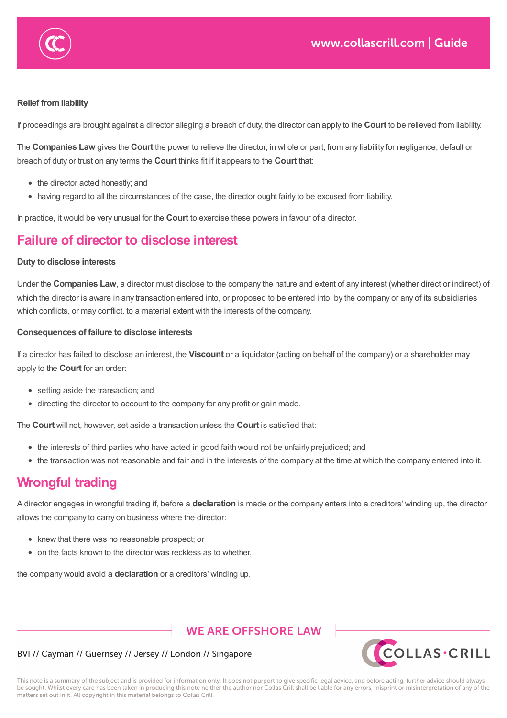

### **Relief fromliability**

If proceedings are brought against a director alleging a breach of duty, the director can apply to the **Court** to be relieved from liability.

The **Companies Law** gives the **Court** the power to relieve the director, in whole or part, from any liability for negligence, default or breach of duty or trust on any terms the **Court** thinks fit if it appears to the **Court** that:

- the director acted honestly; and
- having regard to all the circumstances of the case, the director ought fairly to be excused from liability.

In practice, it would be very unusual for the **Court** to exercise these powers in favour of a director.

# **Failure of director to disclose interest**

### **Duty to disclose interests**

Under the **Companies Law**, a director must disclose to the company the nature and extent of any interest (whether direct or indirect) of which the director is aware in any transaction entered into, or proposed to be entered into, by the company or any of its subsidiaries which conflicts, or may conflict, to a material extent with the interests of the company.

### **Consequences of failure to disclose interests**

If a director has failed to disclose an interest, the **Viscount** or a liquidator (acting on behalf of the company) or a shareholder may apply to the **Court** for an order:

- setting aside the transaction; and
- directing the director to account to the company for any profit or gain made.

The **Court** will not, however, set aside a transaction unless the **Court** is satisfied that:

- the interests of third parties who have acted in good faith would not be unfairly prejudiced; and
- the transaction was not reasonable and fair and in the interests of the company at the time at which the company entered into it.

# **Wrongful trading**

A director engages in wrongful trading if, before a **declaration** is made or the company enters into a creditors' winding up, the director allows the company to carry on business where the director:

- knew that there was no reasonable prospect; or
- on the facts known to the director was reckless as to whether,

the company would avoid a **declaration** or a creditors' winding up.

### **WE ARE OFFSHORE LAW**



### BVI // Cayman // Guernsey // Jersey // London // Singapore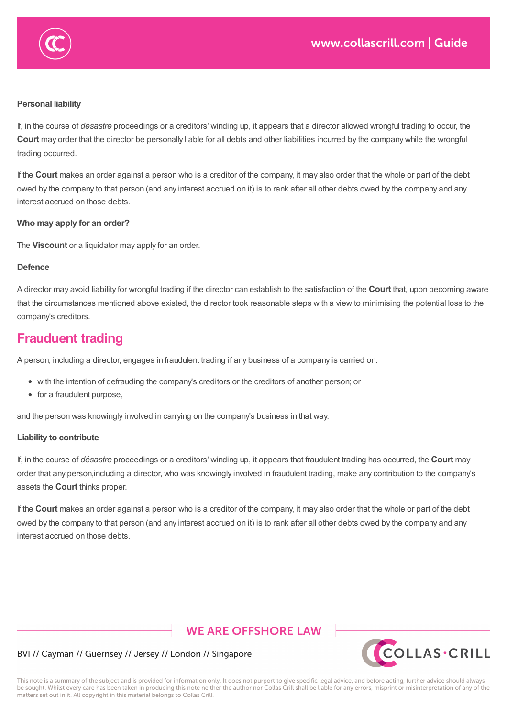

If, in the course of *désastre* proceedings or a creditors' winding up, it appears that a director allowed wrongful trading to occur, the **Court** may order that the director be personally liable for all debts and other liabilities incurred by the company while the wrongful trading occurred.

If the **Court** makes an order against a person who is a creditor of the company, it may also order that the whole or part of the debt owed by the company to that person (and any interest accrued on it) is to rank after all other debts owed by the company and any interest accrued on those debts.

#### **Who may apply for an order?**

The **Viscount** or a liquidator may apply for an order.

allows the company to carry on business where the director:  $\alpha$ 

 $k$  there was no reasonable prospect; or reasonable prospect; or  $k$ 

 $\sqrt{3\omega}$  the facts known to the director was rector was rector was rector was received as to whether, where  $\omega$ 

#### **Defence**

A director may avoid liability for wrongful trading if the director can establish to the satisfaction of the **Court** that, upon becoming aware that the circumstances mentioned above existed, the director took reasonable steps with a view to minimising the potential loss to the company's creditors.

### **Frauduent trading**

A person, including a director, engages in fraudulent trading if any business of a company is carried on:

- with the intention of defrauding the company's creditors or the creditors of another person; or
- for a fraudulent purpose,

and the person was knowingly involved in carrying on the company's business in that way.

#### **Liability to contribute**

If, in the course of *désastre* proceedings or a creditors' winding up, it appears that fraudulent trading has occurred, the **Court** may order that any person,including a director, who was knowingly involved in fraudulent trading, make any contribution to the company's assets the **Court** thinks proper.

If the **Court** makes an order against a person who is a creditor of the company, it may also order that the whole or part of the debt owed by the company to that person (and any interest accrued on it) is to rank after all other debts owed by the company and any interest accrued on those debts.

### **WE ARE OFFSHORE LAW**



#### BVI // Cayman // Guernsey // Jersey // London // Singapore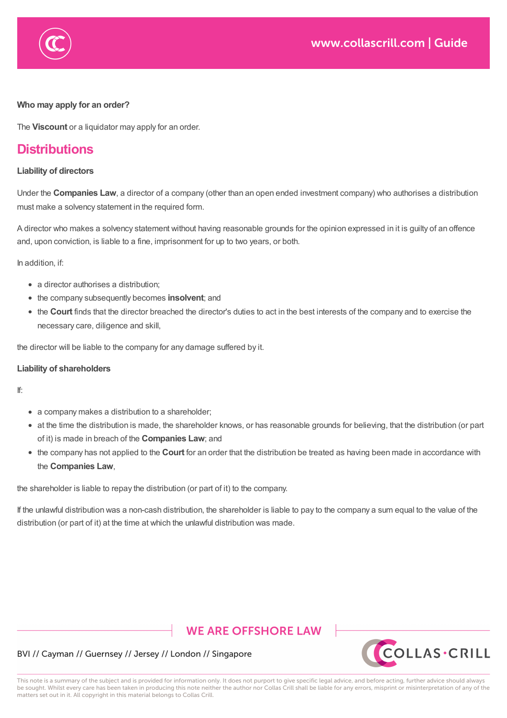

### **Who may apply for an order?**

The **Viscount** or a liquidator may apply for an order.

# **Distributions**

### **Liability of directors**

Under the **Companies Law**, a director of a company (other than an open ended investment company) who authorises a distribution must make a solvency statement in the required form.

A director who makes a solvency statement without having reasonable grounds for the opinion expressed in it is guilty of an offence and, upon conviction, is liable to a fine, imprisonment for up to two years, or both.

In addition, if:

- a director authorises a distribution;
- the company subsequently becomes **insolvent**; and
- the **Court** finds that the director breached the director's duties to act in the best interests of the company and to exercise the necessary care, diligence and skill,

the director will be liable to the company for any damage suffered by it.

#### **Liability of shareholders**

If:

- a company makes a distribution to a shareholder;
- at the time the distribution is made, the shareholder knows, or has reasonable grounds for believing, that the distribution (or part of it) is made in breach of the **Companies Law**; and
- the company has not applied to the **Court** for an order that the distribution be treated as having been made in accordance with the **Companies Law**,

the shareholder is liable to repay the distribution (or part of it) to the company.

If the unlawful distribution was a non-cash distribution, the shareholder is liable to pay to the company a sum equal to the value of the distribution (or part of it) at the time at which the unlawful distribution was made.

# **WE ARE OFFSHORE LAW**



### BVI // Cayman // Guernsey // Jersey // London // Singapore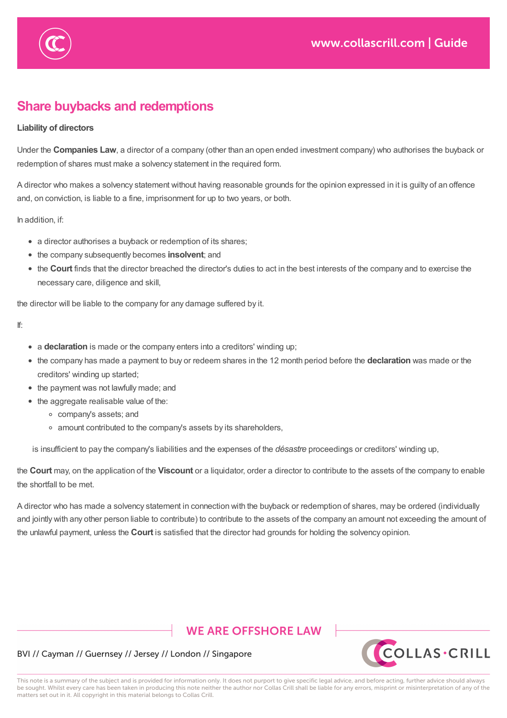

# **Share buybacks and redemptions**

### **Liability of directors**

Under the **Companies Law**, a director of a company (other than an open ended investment company) who authorises the buyback or redemption of shares must make a solvency statement in the required form.

A director who makes a solvency statement without having reasonable grounds for the opinion expressed in it is guilty of an offence and, on conviction, is liable to a fine, imprisonment for up to two years, or both.

In addition, if:

- a director authorises a buyback or redemption of its shares;
- the company subsequently becomes **insolvent**; and
- the **Court** finds that the director breached the director's duties to act in the best interests of the company and to exercise the necessary care, diligence and skill,

the director will be liable to the company for any damage suffered by it.

If:

- a **declaration** is made or the company enters into a creditors' winding up;
- the company has made a payment to buy or redeem shares in the 12 month period before the **declaration** was made or the creditors' winding up started;
- the payment was not lawfully made; and
- the aggregate realisable value of the:
	- company's assets; and
	- amount contributed to the company's assets by its shareholders,

is insufficient to pay the company's liabilities and the expenses of the *désastre* proceedings or creditors' winding up,

the **Court** may, on the application of the **Viscount** or a liquidator, order a director to contribute to the assets of the company to enable the shortfall to be met.

A director who has made a solvency statement in connection with the buyback or redemption of shares, may be ordered (individually and jointly with any other person liable to contribute) to contribute to the assets of the company an amount not exceeding the amount of the unlawful payment, unless the **Court** is satisfied that the director had grounds for holding the solvency opinion.

# **WE ARE OFFSHORE LAW**



### BVI // Cayman // Guernsey // Jersey // London // Singapore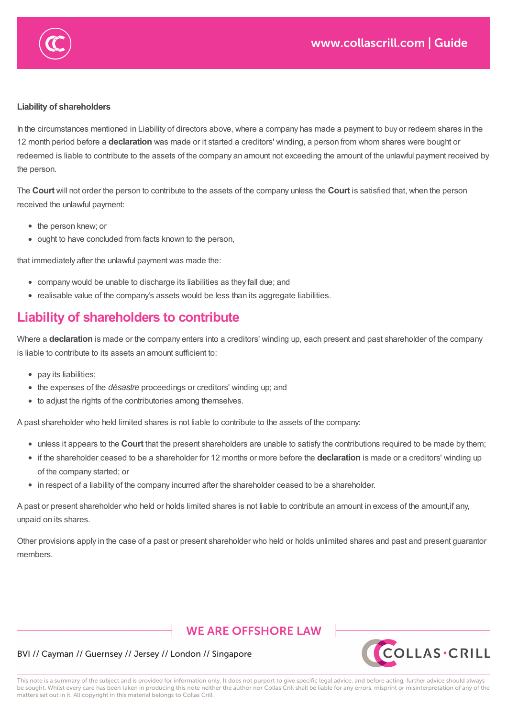

In the circumstances mentioned in Liability of directors above, where a company has made a payment to buy or redeem shares in the 12 month period before a **declaration** was made or it started a creditors' winding, a person from whom shares were bought or redeemed is liable to contribute to the assets of the company an amount not exceeding the amount of the unlawful payment received by the person.

and jointly with any other person liable to contribute) to contribute to the assets of the company an amount not exceeding the amount of

The **Court** will not order the person to contribute to the assets of the company unless the **Court** is satisfied that, when the person received the unlawful payment:

- the person knew; or
- ought to have concluded from facts known to the person,

that immediately after the unlawful payment was made the:

- company would be unable to discharge its liabilities as they fall due; and
- realisable value of the company's assets would be less than its aggregate liabilities.

# **Liability of shareholders to contribute**

Where a **declaration** is made or the company enters into a creditors' winding up, each present and past shareholder of the company is liable to contribute to its assets an amount sufficient to:

- pay its liabilities;
- the expenses of the *désastre* proceedings or creditors' winding up; and
- to adjust the rights of the contributories among themselves.

A past shareholder who held limited shares is not liable to contribute to the assets of the company:

- unless it appears to the **Court** that the present shareholders are unable to satisfy the contributions required to be made by them;
- if the shareholder ceased to be a shareholder for 12 months or more before the **declaration** is made or a creditors' winding up of the company started; or
- in respect of a liability of the company incurred after the shareholder ceased to be a shareholder.

A past or present shareholder who held or holds limited shares is not liable to contribute an amount in excess of the amount,if any, unpaid on its shares.

Other provisions apply in the case of a past or present shareholder who held or holds unlimited shares and past and present guarantor members.

# **WE ARE OFFSHORE LAW**



### BVI // Cayman // Guernsey // Jersey // London // Singapore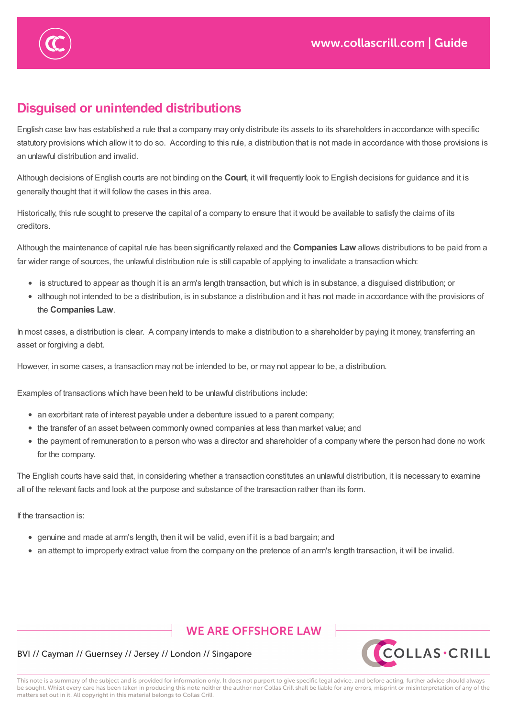

# **Disguised or unintended distributions**

English case law has established a rule that a company may only distribute its assets to its shareholders in accordance with specific statutory provisions which allow it to do so. According to this rule, a distribution that is not made in accordance with those provisions is an unlawful distribution and invalid.

Although decisions of English courts are not binding on the **Court**, it will frequently look to English decisions for guidance and it is generally thought that it will follow the cases in this area.

Historically, this rule sought to preserve the capital of a company to ensure that it would be available to satisfy the claims of its creditors.

Although the maintenance of capital rule has been significantly relaxed and the **Companies Law** allows distributions to be paid from a far wider range of sources, the unlawful distribution rule is still capable of applying to invalidate a transaction which:

- is structured to appear as though it is an arm's length transaction, but which is in substance, a disguised distribution; or
- although not intended to be a distribution, is in substance a distribution and it has not made in accordance with the provisions of the **Companies Law**.

In most cases, a distribution is clear. A company intends to make a distribution to a shareholder by paying it money, transferring an asset or forgiving a debt.

However, in some cases, a transaction may not be intended to be, or may not appear to be, a distribution.

Examples of transactions which have been held to be unlawful distributions include:

- an exorbitant rate of interest payable under a debenture issued to a parent company;
- the transfer of an asset between commonly owned companies at less than market value; and
- the payment of remuneration to a person who was a director and shareholder of a company where the person had done no work for the company.

The English courts have said that, in considering whether a transaction constitutes an unlawful distribution, it is necessary to examine all of the relevant facts and look at the purpose and substance of the transaction rather than its form.

If the transaction is:

- genuine and made at arm's length, then it will be valid, even if it is a bad bargain; and
- an attempt to improperly extract value from the company on the pretence of an arm's length transaction, it will be invalid.

### **WE ARE OFFSHORE LAW**



### BVI // Cayman // Guernsey // Jersey // London // Singapore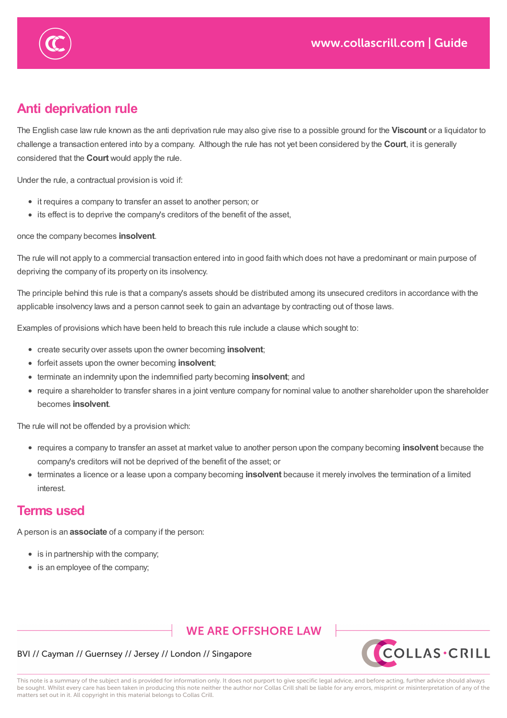

If the transaction is:

# **Anti deprivation rule**

The English case law rule known as the anti deprivation rule may also give rise to a possible ground for the **Viscount** or a liquidator to challenge a transaction entered into by a company. Although the rule has not yet been considered by the **Court**, it is generally considered that the **Court** would apply the rule.

Under the rule, a contractual provision is void if:

- it requires a company to transfer an asset to another person; or
- its effect is to deprive the company's creditors of the benefit of the asset,

### once the company becomes **insolvent**.

The rule will not apply to a commercial transaction entered into in good faith which does not have a predominant or main purpose of depriving the company of its property on its insolvency.

The principle behind this rule is that a company's assets should be distributed among its unsecured creditors in accordance with the applicable insolvency laws and a person cannot seek to gain an advantage by contracting out of those laws.

Examples of provisions which have been held to breach this rule include a clause which sought to:

- create security over assets upon the owner becoming **insolvent**;
- forfeit assets upon the owner becoming **insolvent**;
- terminate an indemnity upon the indemnified party becoming **insolvent**; and
- require a shareholder to transfer shares in a joint venture company for nominal value to another shareholder upon the shareholder becomes **insolvent**.

The rule will not be offended by a provision which:

- requires a company to transfer an asset at market value to another person upon the company becoming **insolvent** because the company's creditors will not be deprived of the benefit of the asset; or
- terminates a licence or a lease upon a company becoming **insolvent** because it merely involves the termination of a limited interest.

### **Terms used**

A person is an **associate** of a company if the person:

- is in partnership with the company;
- is an employee of the company;

### **WE ARE OFFSHORE LAW**



### BVI // Cayman // Guernsey // Jersey // London // Singapore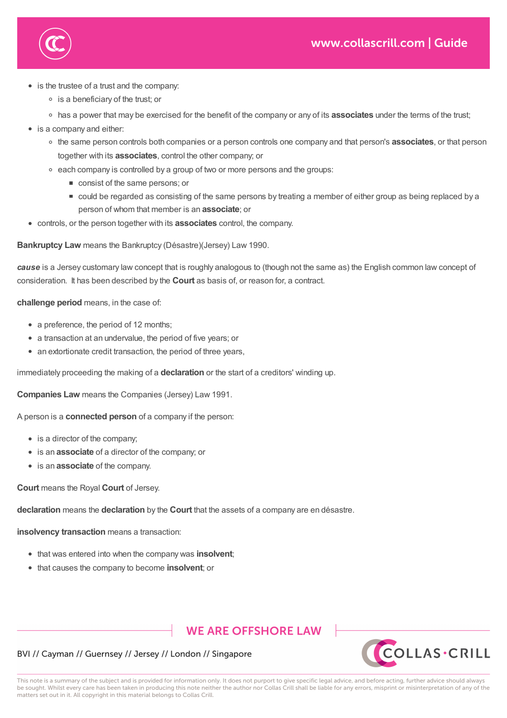

**Terms used**

is the trustee of a trust and the company:

is an employee of the company;

- is a beneficiary of the trust; or
- has a power that may be exercised for the benefit of the company or any of its **associates** under the terms of the trust;
- is a company and either:
	- the same person controls both companies or a person controls one company and that person's **associates**, or that person together with its **associates**, control the other company; or
	- $\circ$  each company is controlled by a group of two or more persons and the groups:
		- consist of the same persons; or
		- could be regarded as consisting of the same persons by treating a member of either group as being replaced by a person of whom that member is an **associate**; or
- controls, or the person together with its **associates** control, the company.

**Bankruptcy Law** means the Bankruptcy (Désastre)(Jersey) Law 1990.

*cause* is a Jersey customary law concept that is roughly analogous to (though not the same as) the English common law concept of consideration. It has been described by the **Court** as basis of, or reason for, a contract.

**challenge period** means, in the case of:

- a preference, the period of 12 months:
- a transaction at an undervalue, the period of five years; or
- an extortionate credit transaction, the period of three years,

immediately proceeding the making of a **declaration** or the start of a creditors' winding up.

**Companies Law** means the Companies (Jersey) Law 1991.

A person is a **connected person** of a company if the person:

- is a director of the company;
- **•** is an **associate** of a director of the company; or
- is an **associate** of the company.

**Court** means the Royal **Court** of Jersey.

**declaration** means the **declaration** by the **Court** that the assets of a company are en désastre.

**insolvency transaction** means a transaction:

- that was entered into when the company was **insolvent**;
- that causes the company to become **insolvent**; or

### **WE ARE OFFSHORE LAW**



### BVI // Cayman // Guernsey // Jersey // London // Singapore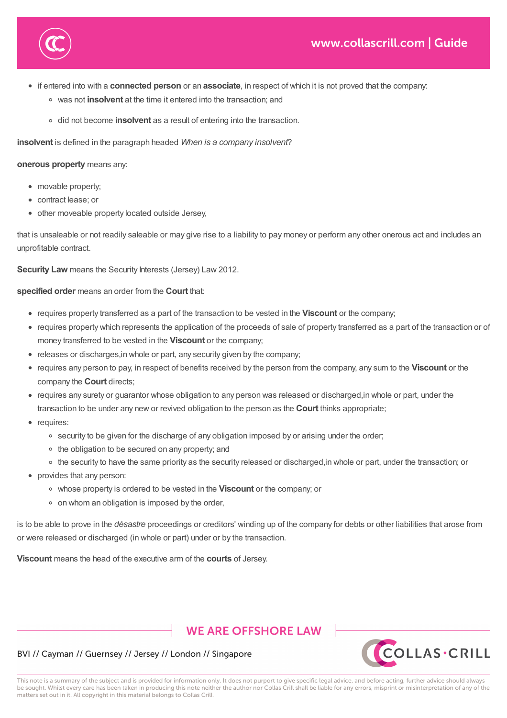

- if entered into with a **connected person** or an **associate**, in respect of which it is not proved that the company:
	- was not **insolvent** at the time it entered into the transaction; and
	- did not become **insolvent** as a result of entering into the transaction.

**declaration** means the **declaration** by the **Court** that the assets of a company are en désastre.

**insolvent** is defined in the paragraph headed *When is a company insolvent*?

#### **onerous property** means any:

- movable property:
- contract lease; or
- other moveable property located outside Jersey,

that causes the company to become **insolvent**; or

that is unsaleable or not readily saleable or may give rise to a liability to pay money or perform any other onerous act and includes an unprofitable contract.

**Security Law** means the Security Interests (Jersey) Law 2012.

**specified order** means an order from the **Court** that:

- requires property transferred as a part of the transaction to be vested in the **Viscount** or the company;
- requires property which represents the application of the proceeds of sale of property transferred as a part of the transaction or of money transferred to be vested in the **Viscount** or the company;
- releases or discharges, in whole or part, any security given by the company;
- requires any person to pay, in respect of benefits received by the person from the company, any sum to the **Viscount** or the company the **Court** directs;
- requires any surety or guarantor whose obligation to any person was released or discharged,in whole or part, under the transaction to be under any new or revived obligation to the person as the **Court** thinks appropriate;
- requires:
	- o security to be given for the discharge of any obligation imposed by or arising under the order;
	- the obligation to be secured on any property; and
	- the security to have the same priority as the security released or discharged,in whole or part, under the transaction; or
- provides that any person:
	- whose property is ordered to be vested in the **Viscount** or the company; or
	- on whom an obligation is imposed by the order,

is to be able to prove in the *désastre* proceedings or creditors' winding up of the company for debts or other liabilities that arose from or were released or discharged (in whole or part) under or by the transaction.

**Viscount** means the head of the executive arm of the **courts** of Jersey.

### **WE ARE OFFSHORE LAW**



### BVI // Cayman // Guernsey // Jersey // London // Singapore